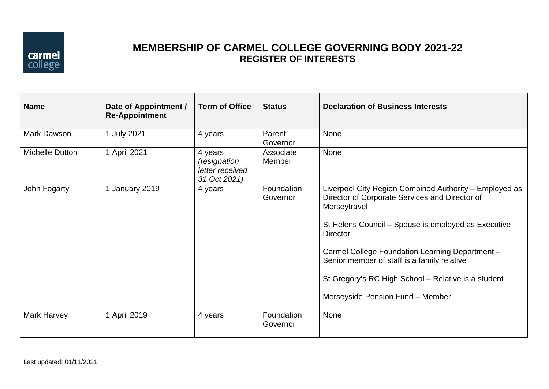

## **MEMBERSHIP OF CARMEL COLLEGE GOVERNING BODY 2021-22 REGISTER OF INTERESTS**

| <b>Name</b>     | Date of Appointment /<br><b>Re-Appointment</b> | <b>Term of Office</b>                                               | <b>Status</b>          | <b>Declaration of Business Interests</b>                                                                                                                                                                                                                                                                                                                                                        |
|-----------------|------------------------------------------------|---------------------------------------------------------------------|------------------------|-------------------------------------------------------------------------------------------------------------------------------------------------------------------------------------------------------------------------------------------------------------------------------------------------------------------------------------------------------------------------------------------------|
| Mark Dawson     | 1 July 2021                                    | 4 years                                                             | Parent<br>Governor     | None                                                                                                                                                                                                                                                                                                                                                                                            |
| Michelle Dutton | 1 April 2021                                   | 4 years<br><i>(resignation</i> )<br>letter received<br>31 Oct 2021) | Associate<br>Member    | None                                                                                                                                                                                                                                                                                                                                                                                            |
| John Fogarty    | 1 January 2019                                 | 4 years                                                             | Foundation<br>Governor | Liverpool City Region Combined Authority – Employed as<br>Director of Corporate Services and Director of<br>Merseytravel<br>St Helens Council - Spouse is employed as Executive<br><b>Director</b><br>Carmel College Foundation Learning Department -<br>Senior member of staff is a family relative<br>St Gregory's RC High School - Relative is a student<br>Merseyside Pension Fund - Member |
| Mark Harvey     | 1 April 2019                                   | 4 years                                                             | Foundation<br>Governor | None                                                                                                                                                                                                                                                                                                                                                                                            |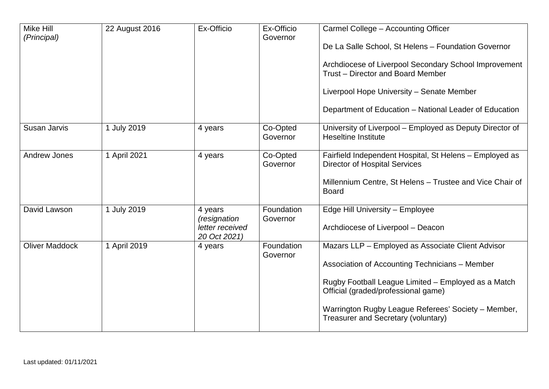| Mike Hill<br>(Principal) | 22 August 2016 | Ex-Officio                                                 | Ex-Officio<br>Governor | Carmel College - Accounting Officer<br>De La Salle School, St Helens - Foundation Governor<br>Archdiocese of Liverpool Secondary School Improvement<br>Trust – Director and Board Member<br>Liverpool Hope University - Senate Member<br>Department of Education - National Leader of Education |
|--------------------------|----------------|------------------------------------------------------------|------------------------|-------------------------------------------------------------------------------------------------------------------------------------------------------------------------------------------------------------------------------------------------------------------------------------------------|
| Susan Jarvis             | 1 July 2019    | 4 years                                                    | Co-Opted<br>Governor   | University of Liverpool - Employed as Deputy Director of<br><b>Heseltine Institute</b>                                                                                                                                                                                                          |
| <b>Andrew Jones</b>      | 1 April 2021   | 4 years                                                    | Co-Opted<br>Governor   | Fairfield Independent Hospital, St Helens - Employed as<br><b>Director of Hospital Services</b><br>Millennium Centre, St Helens - Trustee and Vice Chair of<br><b>Board</b>                                                                                                                     |
| David Lawson             | 1 July 2019    | 4 years<br>(resignation<br>letter received<br>20 Oct 2021) | Foundation<br>Governor | Edge Hill University - Employee<br>Archdiocese of Liverpool - Deacon                                                                                                                                                                                                                            |
| <b>Oliver Maddock</b>    | 1 April 2019   | 4 years                                                    | Foundation<br>Governor | Mazars LLP - Employed as Associate Client Advisor<br>Association of Accounting Technicians - Member<br>Rugby Football League Limited - Employed as a Match<br>Official (graded/professional game)<br>Warrington Rugby League Referees' Society - Member,<br>Treasurer and Secretary (voluntary) |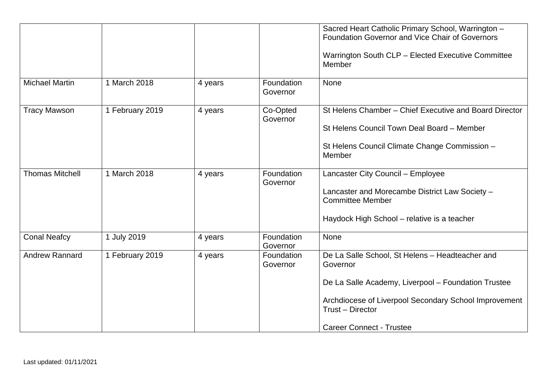|                        |                 |         |                        | Sacred Heart Catholic Primary School, Warrington -<br>Foundation Governor and Vice Chair of Governors<br>Warrington South CLP - Elected Executive Committee<br>Member                                                              |
|------------------------|-----------------|---------|------------------------|------------------------------------------------------------------------------------------------------------------------------------------------------------------------------------------------------------------------------------|
| <b>Michael Martin</b>  | 1 March 2018    | 4 years | Foundation<br>Governor | None                                                                                                                                                                                                                               |
| <b>Tracy Mawson</b>    | 1 February 2019 | 4 years | Co-Opted<br>Governor   | St Helens Chamber - Chief Executive and Board Director<br>St Helens Council Town Deal Board - Member<br>St Helens Council Climate Change Commission -<br>Member                                                                    |
| <b>Thomas Mitchell</b> | 1 March 2018    | 4 years | Foundation<br>Governor | Lancaster City Council - Employee<br>Lancaster and Morecambe District Law Society -<br><b>Committee Member</b><br>Haydock High School – relative is a teacher                                                                      |
| <b>Conal Neafcy</b>    | 1 July 2019     | 4 years | Foundation<br>Governor | None                                                                                                                                                                                                                               |
| <b>Andrew Rannard</b>  | 1 February 2019 | 4 years | Foundation<br>Governor | De La Salle School, St Helens - Headteacher and<br>Governor<br>De La Salle Academy, Liverpool - Foundation Trustee<br>Archdiocese of Liverpool Secondary School Improvement<br>Trust - Director<br><b>Career Connect - Trustee</b> |